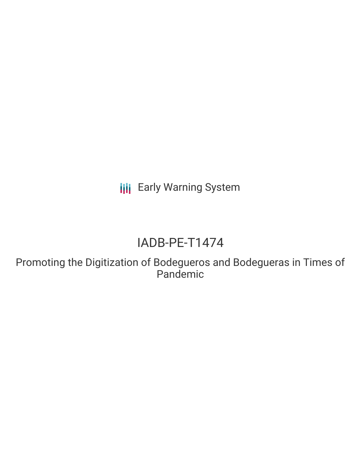**III** Early Warning System

# IADB-PE-T1474

Promoting the Digitization of Bodegueros and Bodegueras in Times of Pandemic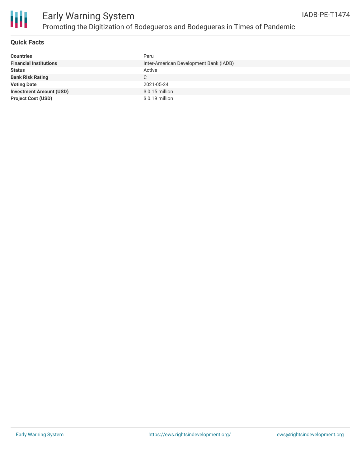

### **Quick Facts**

| <b>Countries</b>               | Peru                                   |
|--------------------------------|----------------------------------------|
| <b>Financial Institutions</b>  | Inter-American Development Bank (IADB) |
| <b>Status</b>                  | Active                                 |
| <b>Bank Risk Rating</b>        | C                                      |
| <b>Voting Date</b>             | 2021-05-24                             |
| <b>Investment Amount (USD)</b> | $$0.15$ million                        |
| <b>Project Cost (USD)</b>      | $$0.19$ million                        |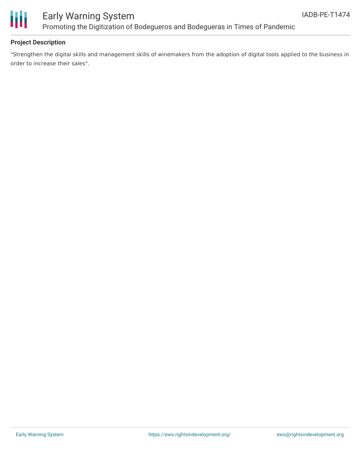

## Early Warning System Promoting the Digitization of Bodegueros and Bodegueras in Times of Pandemic

### **Project Description**

"Strengthen the digital skills and management skills of winemakers from the adoption of digital tools applied to the business in order to increase their sales".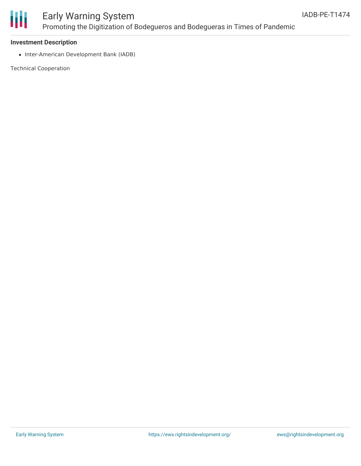

## Early Warning System Promoting the Digitization of Bodegueros and Bodegueras in Times of Pandemic

### **Investment Description**

• Inter-American Development Bank (IADB)

Technical Cooperation